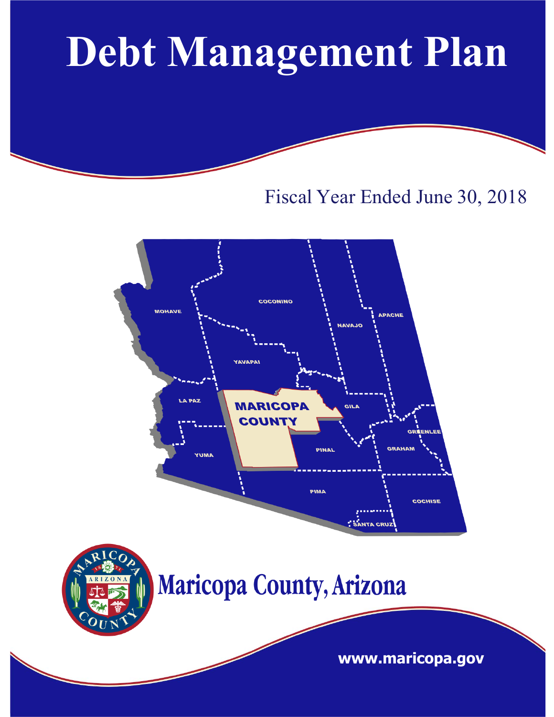Fiscal Year Ended June 30, 2018



**www.maricopa.gov**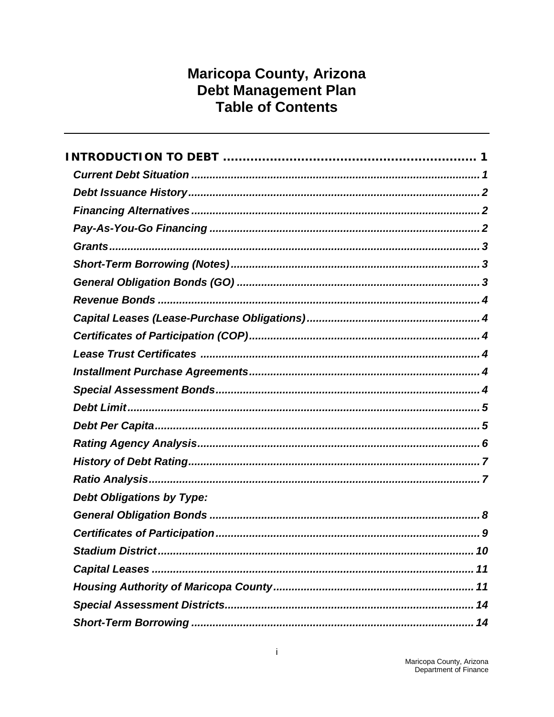# **Maricopa County, Arizona<br>Debt Management Plan<br>Table of Contents**

| <b>Debt Obligations by Type:</b> |  |
|----------------------------------|--|
|                                  |  |
|                                  |  |
|                                  |  |
|                                  |  |
|                                  |  |
|                                  |  |
|                                  |  |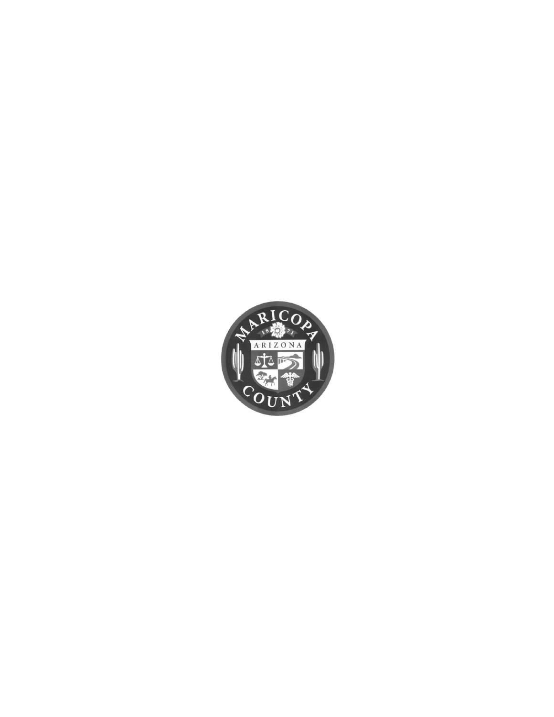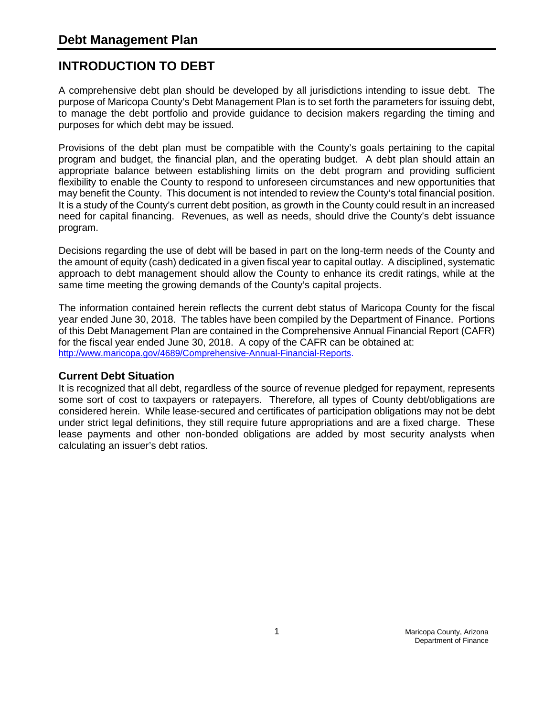## <span id="page-4-0"></span>**INTRODUCTION TO DEBT**

A comprehensive debt plan should be developed by all jurisdictions intending to issue debt. The purpose of Maricopa County's Debt Management Plan is to set forth the parameters for issuing debt, to manage the debt portfolio and provide guidance to decision makers regarding the timing and purposes for which debt may be issued.

Provisions of the debt plan must be compatible with the County's goals pertaining to the capital program and budget, the financial plan, and the operating budget. A debt plan should attain an appropriate balance between establishing limits on the debt program and providing sufficient flexibility to enable the County to respond to unforeseen circumstances and new opportunities that may benefit the County. This document is not intended to review the County's total financial position. It is a study of the County's current debt position, as growth in the County could result in an increased need for capital financing. Revenues, as well as needs, should drive the County's debt issuance program.

Decisions regarding the use of debt will be based in part on the long-term needs of the County and the amount of equity (cash) dedicated in a given fiscal year to capital outlay. A disciplined, systematic approach to debt management should allow the County to enhance its credit ratings, while at the same time meeting the growing demands of the County's capital projects.

The information contained herein reflects the current debt status of Maricopa County for the fiscal year ended June 30, 2018. The tables have been compiled by the Department of Finance. Portions of this Debt Management Plan are contained in the Comprehensive Annual Financial Report (CAFR) for the fiscal year ended June 30, 2018. A copy of the CAFR can be obtained at: [http://www.maricopa.gov/4689/Comprehensive-Annual-Financial-Reports.](http://www.maricopa.gov/4689/Comprehensive-Annual-Financial-Reports)

#### <span id="page-4-1"></span>**Current Debt Situation**

<span id="page-4-2"></span>It is recognized that all debt, regardless of the source of revenue pledged for repayment, represents some sort of cost to taxpayers or ratepayers. Therefore, all types of County debt/obligations are considered herein. While lease-secured and certificates of participation obligations may not be debt under strict legal definitions, they still require future appropriations and are a fixed charge. These lease payments and other non-bonded obligations are added by most security analysts when calculating an issuer's debt ratios.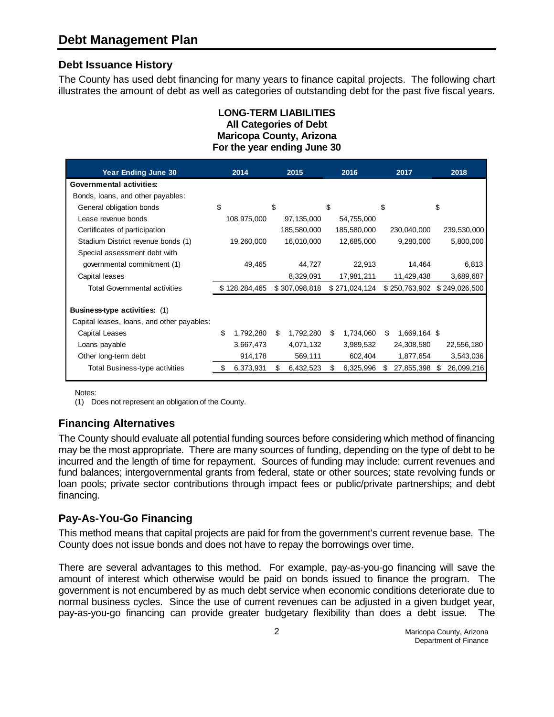## **Debt Issuance History**

The County has used debt financing for many years to finance capital projects. The following chart illustrates the amount of debt as well as categories of outstanding debt for the past five fiscal years.

#### **LONG-TERM LIABILITIES All Categories of Debt Maricopa County, Arizona For the year ending June 30**

| <b>Year Ending June 30</b>                 | 2014            |    | 2015          |    | 2016          |     | 2017          |     | 2018          |
|--------------------------------------------|-----------------|----|---------------|----|---------------|-----|---------------|-----|---------------|
| <b>Governmental activities:</b>            |                 |    |               |    |               |     |               |     |               |
| Bonds, loans, and other payables:          |                 |    |               |    |               |     |               |     |               |
| General obligation bonds                   | \$              | \$ |               | \$ |               | \$  |               | \$  |               |
| Lease revenue bonds                        | 108,975,000     |    | 97,135,000    |    | 54,755,000    |     |               |     |               |
| Certificates of participation              |                 |    | 185,580,000   |    | 185,580,000   |     | 230,040,000   |     | 239,530,000   |
| Stadium District revenue bonds (1)         | 19,260,000      |    | 16,010,000    |    | 12,685,000    |     | 9,280,000     |     | 5,800,000     |
| Special assessment debt with               |                 |    |               |    |               |     |               |     |               |
| governmental commitment (1)                | 49,465          |    | 44,727        |    | 22,913        |     | 14,464        |     | 6,813         |
| Capital leases                             |                 |    | 8,329,091     |    | 17,981,211    |     | 11,429,438    |     | 3,689,687     |
| <b>Total Governmental activities</b>       | \$128,284,465   |    | \$307,098,818 |    | \$271,024,124 |     | \$250,763,902 |     | \$249,026,500 |
|                                            |                 |    |               |    |               |     |               |     |               |
| <b>Business-type activities: (1)</b>       |                 |    |               |    |               |     |               |     |               |
| Capital leases, loans, and other payables: |                 |    |               |    |               |     |               |     |               |
| Capital Leases                             | \$<br>1,792,280 | S  | 1,792,280     | S  | 1,734,060     | S   | 1,669,164 \$  |     |               |
| Loans payable                              | 3,667,473       |    | 4,071,132     |    | 3,989,532     |     | 24,308,580    |     | 22,556,180    |
| Other long-term debt                       | 914,178         |    | 569,111       |    | 602,404       |     | 1,877,654     |     | 3,543,036     |
| Total Business-type activities             | 6,373,931       | S  | 6,432,523     | S  | 6,325,996     | \$. | 27,855,398    | \$. | 26,099,216    |

Notes:

(1) Does not represent an obligation of the County.

## <span id="page-5-0"></span>**Financing Alternatives**

The County should evaluate all potential funding sources before considering which method of financing may be the most appropriate. There are many sources of funding, depending on the type of debt to be incurred and the length of time for repayment. Sources of funding may include: current revenues and fund balances; intergovernmental grants from federal, state or other sources; state revolving funds or loan pools; private sector contributions through impact fees or public/private partnerships; and debt financing.

## <span id="page-5-1"></span>**Pay-As-You-Go Financing**

This method means that capital projects are paid for from the government's current revenue base. The County does not issue bonds and does not have to repay the borrowings over time.

There are several advantages to this method. For example, pay-as-you-go financing will save the amount of interest which otherwise would be paid on bonds issued to finance the program. The government is not encumbered by as much debt service when economic conditions deteriorate due to normal business cycles. Since the use of current revenues can be adjusted in a given budget year, pay-as-you-go financing can provide greater budgetary flexibility than does a debt issue. The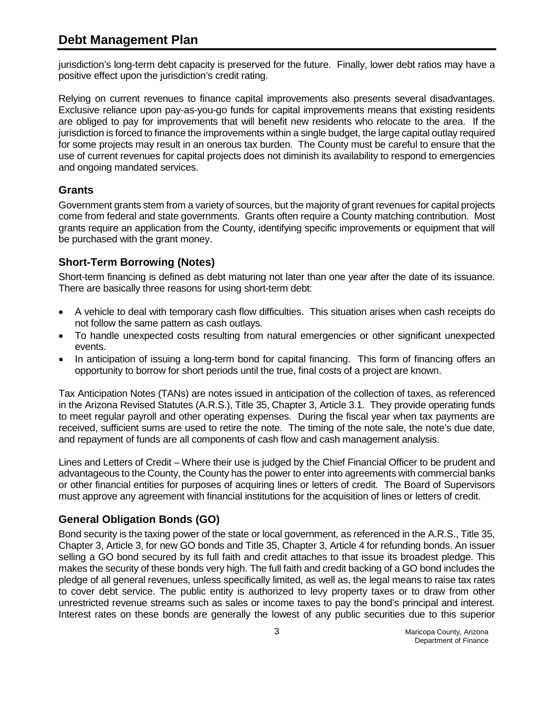jurisdiction's long-term debt capacity is preserved for the future. Finally, lower debt ratios may have a positive effect upon the jurisdiction's credit rating.

Relying on current revenues to finance capital improvements also presents several disadvantages. Exclusive reliance upon pay-as-you-go funds for capital improvements means that existing residents are obliged to pay for improvements that will benefit new residents who relocate to the area. If the jurisdiction is forced to finance the improvements within a single budget, the large capital outlay required for some projects may result in an onerous tax burden. The County must be careful to ensure that the use of current revenues for capital projects does not diminish its availability to respond to emergencies and ongoing mandated services.

## <span id="page-6-0"></span>**Grants**

Government grants stem from a variety of sources, but the majority of grant revenues for capital projects come from federal and state governments. Grants often require a County matching contribution. Most grants require an application from the County, identifying specific improvements or equipment that will be purchased with the grant money.

## <span id="page-6-1"></span>**Short-Term Borrowing (Notes)**

Short-term financing is defined as debt maturing not later than one year after the date of its issuance. There are basically three reasons for using short-term debt:

- A vehicle to deal with temporary cash flow difficulties. This situation arises when cash receipts do not follow the same pattern as cash outlays.
- To handle unexpected costs resulting from natural emergencies or other significant unexpected events.
- In anticipation of issuing a long-term bond for capital financing. This form of financing offers an opportunity to borrow for short periods until the true, final costs of a project are known.

Tax Anticipation Notes (TANs) are notes issued in anticipation of the collection of taxes, as referenced in the Arizona Revised Statutes (A.R.S.), Title 35, Chapter 3, Article 3.1. They provide operating funds to meet regular payroll and other operating expenses. During the fiscal year when tax payments are received, sufficient sums are used to retire the note. The timing of the note sale, the note's due date, and repayment of funds are all components of cash flow and cash management analysis.

Lines and Letters of Credit – Where their use is judged by the Chief Financial Officer to be prudent and advantageous to the County, the County has the power to enter into agreements with commercial banks or other financial entities for purposes of acquiring lines or letters of credit. The Board of Supervisors must approve any agreement with financial institutions for the acquisition of lines or letters of credit.

## <span id="page-6-2"></span>**General Obligation Bonds (GO)**

Bond security is the taxing power of the state or local government, as referenced in the A.R.S., Title 35, Chapter 3, Article 3, for new GO bonds and Title 35, Chapter 3, Article 4 for refunding bonds. An issuer selling a GO bond secured by its full faith and credit attaches to that issue its broadest pledge. This makes the security of these bonds very high. The full faith and credit backing of a GO bond includes the pledge of all general revenues, unless specifically limited, as well as, the legal means to raise tax rates to cover debt service. The public entity is authorized to levy property taxes or to draw from other unrestricted revenue streams such as sales or income taxes to pay the bond's principal and interest. Interest rates on these bonds are generally the lowest of any public securities due to this superior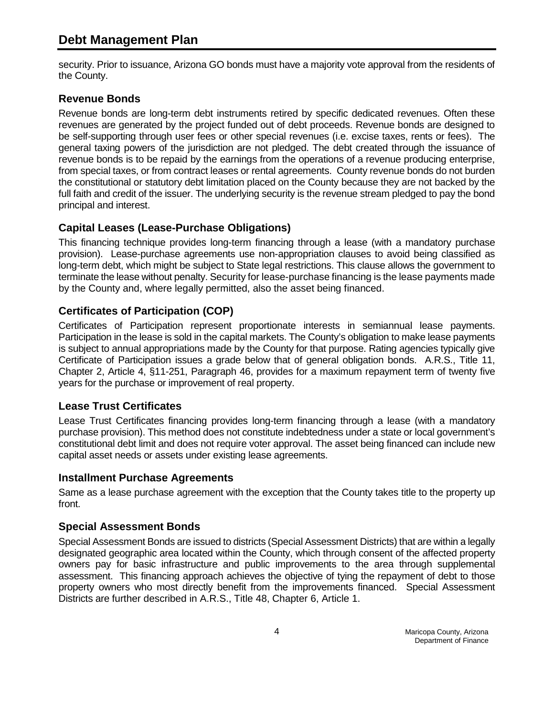security. Prior to issuance, Arizona GO bonds must have a majority vote approval from the residents of the County.

## <span id="page-7-0"></span>**Revenue Bonds**

Revenue bonds are long-term debt instruments retired by specific dedicated revenues. Often these revenues are generated by the project funded out of debt proceeds. Revenue bonds are designed to be self-supporting through user fees or other special revenues (i.e. excise taxes, rents or fees). The general taxing powers of the jurisdiction are not pledged. The debt created through the issuance of revenue bonds is to be repaid by the earnings from the operations of a revenue producing enterprise, from special taxes, or from contract leases or rental agreements. County revenue bonds do not burden the constitutional or statutory debt limitation placed on the County because they are not backed by the full faith and credit of the issuer. The underlying security is the revenue stream pledged to pay the bond principal and interest.

## **Capital Leases (Lease-Purchase Obligations)**

This financing technique provides long-term financing through a lease (with a mandatory purchase provision). Lease-purchase agreements use non-appropriation clauses to avoid being classified as long-term debt, which might be subject to State legal restrictions. This clause allows the government to terminate the lease without penalty. Security for lease-purchase financing is the lease payments made by the County and, where legally permitted, also the asset being financed.

## **Certificates of Participation (COP)**

Certificates of Participation represent proportionate interests in semiannual lease payments. Participation in the lease is sold in the capital markets. The County's obligation to make lease payments is subject to annual appropriations made by the County for that purpose. Rating agencies typically give Certificate of Participation issues a grade below that of general obligation bonds. A.R.S., Title 11, Chapter 2, Article 4, §11-251, Paragraph 46, provides for a maximum repayment term of twenty five years for the purchase or improvement of real property.

## **Lease Trust Certificates**

Lease Trust Certificates financing provides long-term financing through a lease (with a mandatory purchase provision). This method does not constitute indebtedness under a state or local government's constitutional debt limit and does not require voter approval. The asset being financed can include new capital asset needs or assets under existing lease agreements.

#### **Installment Purchase Agreements**

Same as a lease purchase agreement with the exception that the County takes title to the property up front.

## **Special Assessment Bonds**

Special Assessment Bonds are issued to districts (Special Assessment Districts) that are within a legally designated geographic area located within the County, which through consent of the affected property owners pay for basic infrastructure and public improvements to the area through supplemental assessment. This financing approach achieves the objective of tying the repayment of debt to those property owners who most directly benefit from the improvements financed. Special Assessment Districts are further described in A.R.S., Title 48, Chapter 6, Article 1.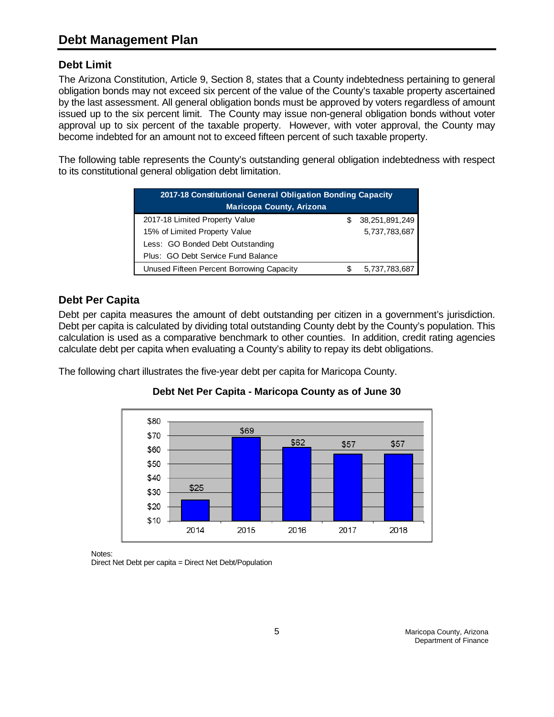## **Debt Limit**

The Arizona Constitution, Article 9, Section 8, states that a County indebtedness pertaining to general obligation bonds may not exceed six percent of the value of the County's taxable property ascertained by the last assessment. All general obligation bonds must be approved by voters regardless of amount issued up to the six percent limit. The County may issue non-general obligation bonds without voter approval up to six percent of the taxable property. However, with voter approval, the County may become indebted for an amount not to exceed fifteen percent of such taxable property.

The following table represents the County's outstanding general obligation indebtedness with respect to its constitutional general obligation debt limitation.

| 2017-18 Constitutional General Obligation Bonding Capacity<br><b>Maricopa County, Arizona</b> |    |                |  |  |  |  |  |
|-----------------------------------------------------------------------------------------------|----|----------------|--|--|--|--|--|
| 2017-18 Limited Property Value                                                                | æ. | 38,251,891,249 |  |  |  |  |  |
| 15% of Limited Property Value                                                                 |    | 5,737,783,687  |  |  |  |  |  |
| Less: GO Bonded Debt Outstanding                                                              |    |                |  |  |  |  |  |
| Plus: GO Debt Service Fund Balance                                                            |    |                |  |  |  |  |  |
| Unused Fifteen Percent Borrowing Capacity                                                     | \$ | 5,737,783,687  |  |  |  |  |  |

#### **Debt Per Capita**

Debt per capita measures the amount of debt outstanding per citizen in a government's jurisdiction. Debt per capita is calculated by dividing total outstanding County debt by the County's population. This calculation is used as a comparative benchmark to other counties. In addition, credit rating agencies calculate debt per capita when evaluating a County's ability to repay its debt obligations.

The following chart illustrates the five-year debt per capita for Maricopa County.



## **Debt Net Per Capita - Maricopa County as of June 30**

Notes:

Direct Net Debt per capita = Direct Net Debt/Population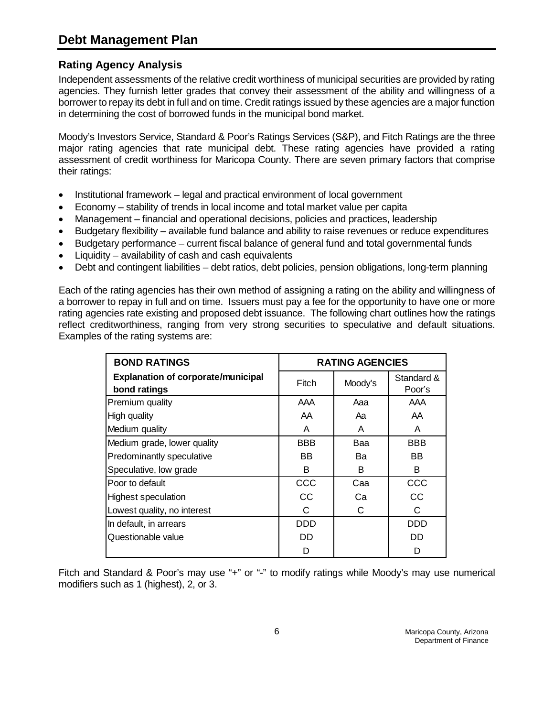## **Rating Agency Analysis**

Independent assessments of the relative credit worthiness of municipal securities are provided by rating agencies. They furnish letter grades that convey their assessment of the ability and willingness of a borrower to repay its debt in full and on time. Credit ratings issued by these agencies are a major function in determining the cost of borrowed funds in the municipal bond market.

Moody's Investors Service, Standard & Poor's Ratings Services (S&P), and Fitch Ratings are the three major rating agencies that rate municipal debt. These rating agencies have provided a rating assessment of credit worthiness for Maricopa County. There are seven primary factors that comprise their ratings:

- Institutional framework legal and practical environment of local government
- Economy stability of trends in local income and total market value per capita
- Management financial and operational decisions, policies and practices, leadership
- Budgetary flexibility available fund balance and ability to raise revenues or reduce expenditures
- Budgetary performance current fiscal balance of general fund and total governmental funds
- Liquidity availability of cash and cash equivalents
- Debt and contingent liabilities debt ratios, debt policies, pension obligations, long-term planning

Each of the rating agencies has their own method of assigning a rating on the ability and willingness of a borrower to repay in full and on time. Issuers must pay a fee for the opportunity to have one or more rating agencies rate existing and proposed debt issuance. The following chart outlines how the ratings reflect creditworthiness, ranging from very strong securities to speculative and default situations. Examples of the rating systems are:

| <b>BOND RATINGS</b>                                       | <b>RATING AGENCIES</b> |         |                      |  |  |  |  |
|-----------------------------------------------------------|------------------------|---------|----------------------|--|--|--|--|
| <b>Explanation of corporate/municipal</b><br>bond ratings | Fitch                  | Moody's | Standard &<br>Poor's |  |  |  |  |
| Premium quality                                           | AAA                    | Aaa     | AAA                  |  |  |  |  |
| High quality                                              | AΑ                     | Aa      | AΑ                   |  |  |  |  |
| Medium quality                                            | A                      | A       | A                    |  |  |  |  |
| Medium grade, lower quality                               | <b>BBB</b>             | Baa     | <b>BBB</b>           |  |  |  |  |
| Predominantly speculative                                 | BB                     | Ba      | BB                   |  |  |  |  |
| Speculative, low grade                                    | В                      | B       | R                    |  |  |  |  |
| Poor to default                                           | CCC                    | Caa     | CCC                  |  |  |  |  |
| <b>Highest speculation</b>                                | CС                     | Cа      | CС                   |  |  |  |  |
| Lowest quality, no interest                               | C.                     | C       | C                    |  |  |  |  |
| In default, in arrears                                    | DDD                    |         | DDD                  |  |  |  |  |
| Questionable value                                        | DD.                    |         | DD                   |  |  |  |  |
|                                                           | D                      |         | D                    |  |  |  |  |

Fitch and Standard & Poor's may use "+" or "-" to modify ratings while Moody's may use numerical modifiers such as 1 (highest), 2, or 3.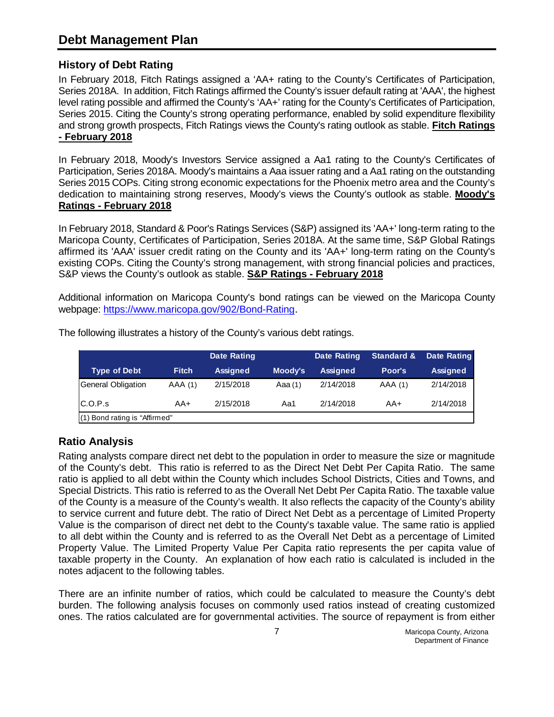## **History of Debt Rating**

In February 2018, Fitch Ratings assigned a 'AA+ rating to the County's Certificates of Participation, Series 2018A. In addition, Fitch Ratings affirmed the County's issuer default rating at 'AAA', the highest level rating possible and affirmed the County's 'AA+' rating for the County's Certificates of Participation, Series 2015. Citing the County's strong operating performance, enabled by solid expenditure flexibility and strong growth prospects, Fitch Ratings views the County's rating outlook as stable. **[Fitch Ratings](https://www.maricopa.gov/DocumentCenter/View/36343)  - [February 2018](https://www.maricopa.gov/DocumentCenter/View/36343)**

In February 2018, Moody's Investors Service assigned a Aa1 rating to the County's Certificates of Participation, Series 2018A. Moody's maintains a Aaa issuer rating and a Aa1 rating on the outstanding Series 2015 COPs. Citing strong economic expectations for the Phoenix metro area and the County's dedication to maintaining strong reserves, Moody's views the County's outlook as stable. **[Moody's](https://www.maricopa.gov/DocumentCenter/View/36342)  Ratings - [February 2018](https://www.maricopa.gov/DocumentCenter/View/36342)**

In February 2018, Standard & Poor's Ratings Services (S&P) assigned its 'AA+' long-term rating to the Maricopa County, Certificates of Participation, Series 2018A. At the same time, S&P Global Ratings affirmed its 'AAA' issuer credit rating on the County and its 'AA+' long-term rating on the County's existing COPs. Citing the County's strong management, with strong financial policies and practices, S&P views the County's outlook as stable. **S&P Ratings - [February 2018](https://www.maricopa.gov/DocumentCenter/View/36344)**

Additional information on Maricopa County's bond ratings can be viewed on the Maricopa County webpage: [https://www.maricopa.gov/902/Bond-Rating.](https://www.maricopa.gov/902/Bond-Rating)

<span id="page-10-0"></span>

|                               |              | <b>Date Rating</b> |           | <b>Date Rating</b> | <b>Standard &amp;</b> | <b>Date Rating</b> |
|-------------------------------|--------------|--------------------|-----------|--------------------|-----------------------|--------------------|
| <b>Type of Debt</b>           | <b>Fitch</b> | <b>Assigned</b>    | Moody's   | <b>Assigned</b>    | Poor's                | <b>Assigned</b>    |
| General Obligation            | AAA(1)       | 2/15/2018          | Aaa $(1)$ | 2/14/2018          | AAA (1)               | 2/14/2018          |
| C.O.P.s                       | $AA+$        | 2/15/2018          | Aa1       | 2/14/2018          | AA+                   | 2/14/2018          |
| (1) Bond rating is "Affirmed" |              |                    |           |                    |                       |                    |

The following illustrates a history of the County's various debt ratings.

## **Ratio Analysis**

Rating analysts compare direct net debt to the population in order to measure the size or magnitude of the County's debt. This ratio is referred to as the Direct Net Debt Per Capita Ratio. The same ratio is applied to all debt within the County which includes School Districts, Cities and Towns, and Special Districts. This ratio is referred to as the Overall Net Debt Per Capita Ratio. The taxable value of the County is a measure of the County's wealth. It also reflects the capacity of the County's ability to service current and future debt. The ratio of Direct Net Debt as a percentage of Limited Property Value is the comparison of direct net debt to the County's taxable value. The same ratio is applied to all debt within the County and is referred to as the Overall Net Debt as a percentage of Limited Property Value. The Limited Property Value Per Capita ratio represents the per capita value of taxable property in the County. An explanation of how each ratio is calculated is included in the notes adjacent to the following tables.

There are an infinite number of ratios, which could be calculated to measure the County's debt burden. The following analysis focuses on commonly used ratios instead of creating customized ones. The ratios calculated are for governmental activities. The source of repayment is from either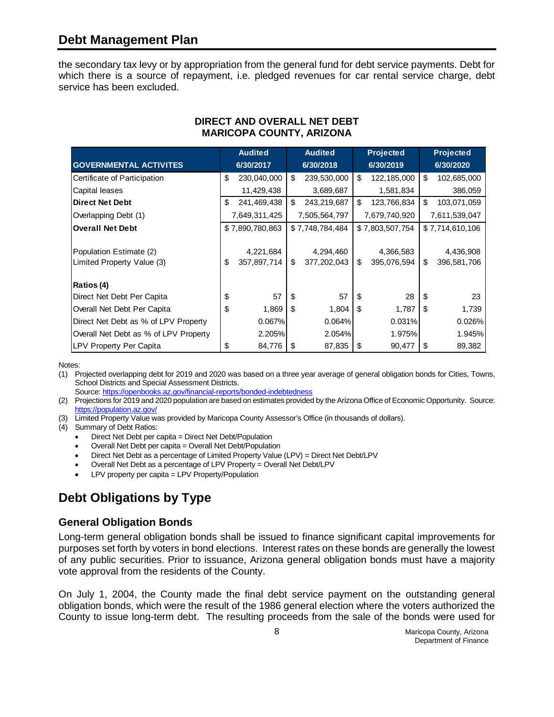the secondary tax levy or by appropriation from the general fund for debt service payments. Debt for which there is a source of repayment, i.e. pledged revenues for car rental service charge, debt service has been excluded.

|                                       |    | <b>Audited</b>  |    | <b>Audited</b>  |    | <b>Projected</b> |    | <b>Projected</b> |
|---------------------------------------|----|-----------------|----|-----------------|----|------------------|----|------------------|
| <b>GOVERNMENTAL ACTIVITES</b>         |    | 6/30/2017       |    | 6/30/2018       |    | 6/30/2019        |    | 6/30/2020        |
| Certificate of Participation          | \$ | 230,040,000     | \$ | 239,530,000     | \$ | 122, 185, 000    | \$ | 102,685,000      |
| Capital leases                        |    | 11,429,438      |    | 3,689,687       |    | 1,581,834        |    | 386,059          |
| <b>Direct Net Debt</b>                | \$ | 241,469,438     | \$ | 243,219,687     | \$ | 123,766,834      | \$ | 103,071,059      |
| Overlapping Debt (1)                  |    | 7,649,311,425   |    | 7,505,564,797   |    | 7,679,740,920    |    | 7,611,539,047    |
| <b>Overall Net Debt</b>               |    | \$7,890,780,863 |    | \$7,748,784,484 |    | \$7,803,507,754  |    | \$7,714,610,106  |
| Population Estimate (2)               |    | 4,221,684       |    | 4,294,460       |    | 4,366,583        |    | 4,436,908        |
| Limited Property Value (3)            | \$ | 357,897,714     | \$ | 377,202,043     | \$ | 395,076,594      | \$ | 396,581,706      |
| Ratios (4)                            |    |                 |    |                 |    |                  |    |                  |
| Direct Net Debt Per Capita            | \$ | 57              | \$ | 57              | \$ | 28               | S  | 23               |
| Overall Net Debt Per Capita           | \$ | 1,869           | \$ | 1,804           | \$ | 1,787            | \$ | 1,739            |
| Direct Net Debt as % of LPV Property  |    | 0.067%          |    | 0.064%          |    | 0.031%           |    | 0.026%           |
| Overall Net Debt as % of LPV Property |    | 2.205%          |    | 2.054%          |    | 1.975%           |    | 1.945%           |
| LPV Property Per Capita               | \$ | 84,776          | \$ | 87,835          | \$ | 90,477           | \$ | 89,382           |

#### **DIRECT AND OVERALL NET DEBT MARICOPA COUNTY, ARIZONA**

Notes:

(1) Projected overlapping debt for 2019 and 2020 was based on a three year average of general obligation bonds for Cities, Towns, School Districts and Special Assessment Districts.

Source: <https://openbooks.az.gov/financial-reports/bonded-indebtedness>

(2) Projections for 2019 and 2020 population are based on estimates provided by the Arizona Office of Economic Opportunity. Source: <https://population.az.gov/>

(3) Limited Property Value was provided by Maricopa County Assessor's Office (in thousands of dollars).

(4) Summary of Debt Ratios:

- Direct Net Debt per capita = Direct Net Debt/Population
- Overall Net Debt per capita = Overall Net Debt/Population
- Direct Net Debt as a percentage of Limited Property Value (LPV) = Direct Net Debt/LPV
- Overall Net Debt as a percentage of LPV Property = Overall Net Debt/LPV
- LPV property per capita = LPV Property/Population

## **Debt Obligations by Type**

#### **General Obligation Bonds**

Long-term general obligation bonds shall be issued to finance significant capital improvements for purposes set forth by voters in bond elections. Interest rates on these bonds are generally the lowest of any public securities. Prior to issuance, Arizona general obligation bonds must have a majority vote approval from the residents of the County.

On July 1, 2004, the County made the final debt service payment on the outstanding general obligation bonds, which were the result of the 1986 general election where the voters authorized the County to issue long-term debt. The resulting proceeds from the sale of the bonds were used for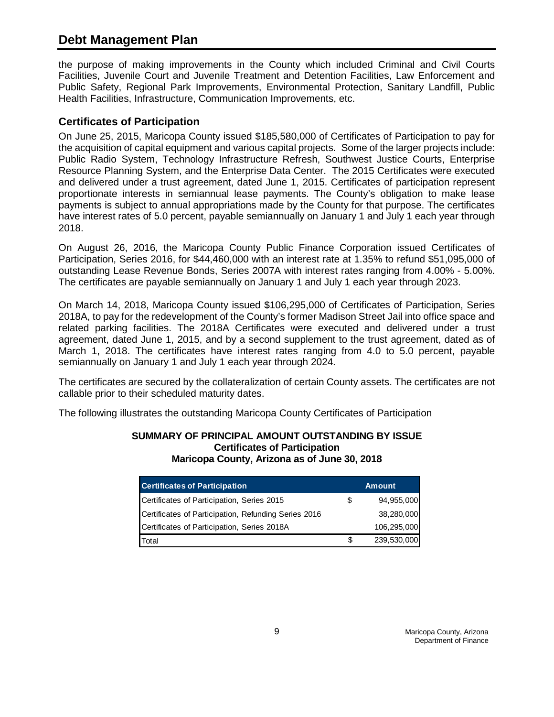the purpose of making improvements in the County which included Criminal and Civil Courts Facilities, Juvenile Court and Juvenile Treatment and Detention Facilities, Law Enforcement and Public Safety, Regional Park Improvements, Environmental Protection, Sanitary Landfill, Public Health Facilities, Infrastructure, Communication Improvements, etc.

#### **Certificates of Participation**

On June 25, 2015, Maricopa County issued \$185,580,000 of Certificates of Participation to pay for the acquisition of capital equipment and various capital projects. Some of the larger projects include: Public Radio System, Technology Infrastructure Refresh, Southwest Justice Courts, Enterprise Resource Planning System, and the Enterprise Data Center. The 2015 Certificates were executed and delivered under a trust agreement, dated June 1, 2015. Certificates of participation represent proportionate interests in semiannual lease payments. The County's obligation to make lease payments is subject to annual appropriations made by the County for that purpose. The certificates have interest rates of 5.0 percent, payable semiannually on January 1 and July 1 each year through 2018.

On August 26, 2016, the Maricopa County Public Finance Corporation issued Certificates of Participation, Series 2016, for \$44,460,000 with an interest rate at 1.35% to refund \$51,095,000 of outstanding Lease Revenue Bonds, Series 2007A with interest rates ranging from 4.00% - 5.00%. The certificates are payable semiannually on January 1 and July 1 each year through 2023.

On March 14, 2018, Maricopa County issued \$106,295,000 of Certificates of Participation, Series 2018A, to pay for the redevelopment of the County's former Madison Street Jail into office space and related parking facilities. The 2018A Certificates were executed and delivered under a trust agreement, dated June 1, 2015, and by a second supplement to the trust agreement, dated as of March 1, 2018. The certificates have interest rates ranging from 4.0 to 5.0 percent, payable semiannually on January 1 and July 1 each year through 2024.

The certificates are secured by the collateralization of certain County assets. The certificates are not callable prior to their scheduled maturity dates.

The following illustrates the outstanding Maricopa County Certificates of Participation

#### **SUMMARY OF PRINCIPAL AMOUNT OUTSTANDING BY ISSUE Certificates of Participation Maricopa County, Arizona as of June 30, 2018**

| <b>Certificates of Participation</b>                 |   | <b>Amount</b> |
|------------------------------------------------------|---|---------------|
| Certificates of Participation, Series 2015           | S | 94,955,000    |
| Certificates of Participation, Refunding Series 2016 |   | 38,280,000    |
| Certificates of Participation, Series 2018A          |   | 106,295,000   |
| Total                                                | S | 239,530,000   |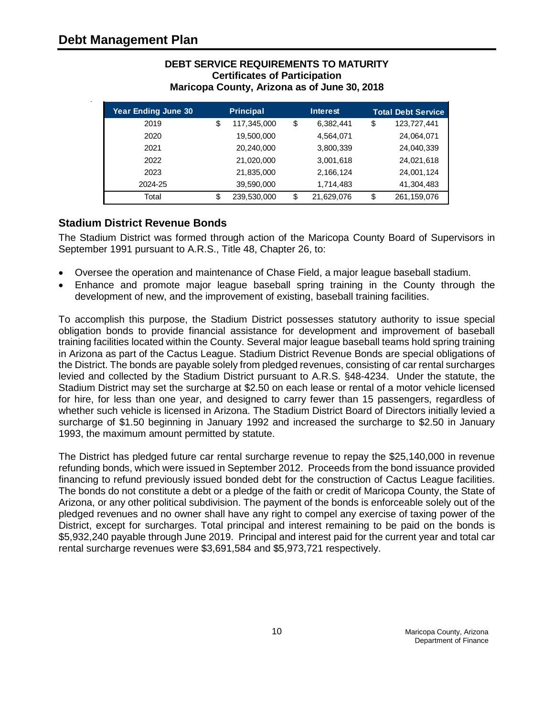| <b>Year Ending June 30</b> |    | <b>Principal</b> | Interest         | <b>Total Debt Service</b> |
|----------------------------|----|------------------|------------------|---------------------------|
| 2019                       | \$ | 117,345,000      | \$<br>6,382,441  | \$<br>123,727,441         |
| 2020                       |    | 19,500,000       | 4,564,071        | 24,064,071                |
| 2021                       |    | 20,240,000       | 3,800,339        | 24,040,339                |
| 2022                       |    | 21,020,000       | 3,001,618        | 24,021,618                |
| 2023                       |    | 21,835,000       | 2,166,124        | 24,001,124                |
| 2024-25                    |    | 39,590,000       | 1,714,483        | 41,304,483                |
| Total                      | S  | 239,530,000      | \$<br>21,629,076 | \$<br>261,159,076         |

#### **DEBT SERVICE REQUIREMENTS TO MATURITY Certificates of Participation Maricopa County, Arizona as of June 30, 2018**

## **Stadium District Revenue Bonds**

The Stadium District was formed through action of the Maricopa County Board of Supervisors in September 1991 pursuant to A.R.S., Title 48, Chapter 26, to:

- Oversee the operation and maintenance of Chase Field, a major league baseball stadium.
- Enhance and promote major league baseball spring training in the County through the development of new, and the improvement of existing, baseball training facilities.

To accomplish this purpose, the Stadium District possesses statutory authority to issue special obligation bonds to provide financial assistance for development and improvement of baseball training facilities located within the County. Several major league baseball teams hold spring training in Arizona as part of the Cactus League. Stadium District Revenue Bonds are special obligations of the District. The bonds are payable solely from pledged revenues, consisting of car rental surcharges levied and collected by the Stadium District pursuant to A.R.S. §48-4234. Under the statute, the Stadium District may set the surcharge at \$2.50 on each lease or rental of a motor vehicle licensed for hire, for less than one year, and designed to carry fewer than 15 passengers, regardless of whether such vehicle is licensed in Arizona. The Stadium District Board of Directors initially levied a surcharge of \$1.50 beginning in January 1992 and increased the surcharge to \$2.50 in January 1993, the maximum amount permitted by statute.

The District has pledged future car rental surcharge revenue to repay the \$25,140,000 in revenue refunding bonds, which were issued in September 2012. Proceeds from the bond issuance provided financing to refund previously issued bonded debt for the construction of Cactus League facilities. The bonds do not constitute a debt or a pledge of the faith or credit of Maricopa County, the State of Arizona, or any other political subdivision. The payment of the bonds is enforceable solely out of the pledged revenues and no owner shall have any right to compel any exercise of taxing power of the District, except for surcharges. Total principal and interest remaining to be paid on the bonds is \$5,932,240 payable through June 2019. Principal and interest paid for the current year and total car rental surcharge revenues were \$3,691,584 and \$5,973,721 respectively.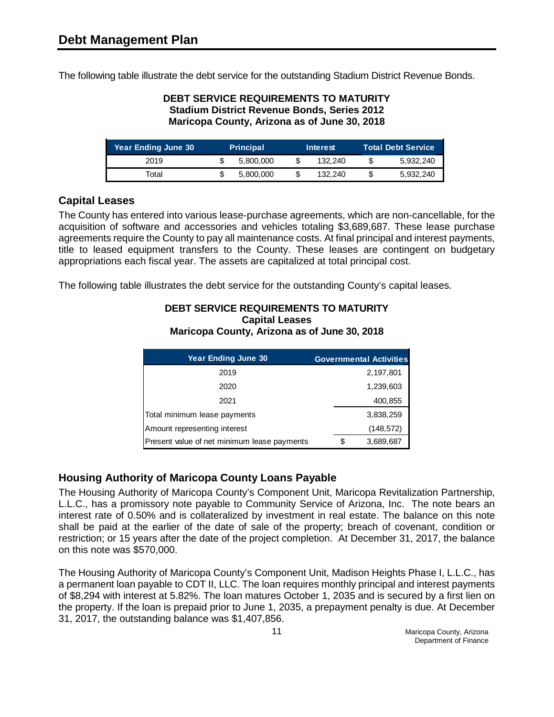The following table illustrate the debt service for the outstanding Stadium District Revenue Bonds.

#### **DEBT SERVICE REQUIREMENTS TO MATURITY Stadium District Revenue Bonds, Series 2012 Maricopa County, Arizona as of June 30, 2018**

| <b>Year Ending June 30</b> | <b>Principal</b> | Interest |   | <b>Total Debt Service</b> |
|----------------------------|------------------|----------|---|---------------------------|
| 2019                       | 5.800.000        | 132.240  |   | 5.932.240                 |
| Total                      | 5.800.000        | 132.240  | S | 5.932.240                 |

## **Capital Leases**

The County has entered into various lease-purchase agreements, which are non-cancellable, for the acquisition of software and accessories and vehicles totaling \$3,689,687. These lease purchase agreements require the County to pay all maintenance costs. At final principal and interest payments, title to leased equipment transfers to the County. These leases are contingent on budgetary appropriations each fiscal year. The assets are capitalized at total principal cost.

The following table illustrates the debt service for the outstanding County's capital leases.

| <b>Year Ending June 30</b>                  |   | <b>Governmental Activities</b> |
|---------------------------------------------|---|--------------------------------|
| 2019                                        |   | 2,197,801                      |
| 2020                                        |   | 1,239,603                      |
| 2021                                        |   | 400,855                        |
| Total minimum lease payments                |   | 3,838,259                      |
| Amount representing interest                |   | (148, 572)                     |
| Present value of net minimum lease payments | S | 3,689,687                      |

#### **DEBT SERVICE REQUIREMENTS TO MATURITY Capital Leases Maricopa County, Arizona as of June 30, 2018**

## **Housing Authority of Maricopa County Loans Payable**

The Housing Authority of Maricopa County's Component Unit, Maricopa Revitalization Partnership, L.L.C., has a promissory note payable to Community Service of Arizona, Inc. The note bears an interest rate of 0.50% and is collateralized by investment in real estate. The balance on this note shall be paid at the earlier of the date of sale of the property; breach of covenant, condition or restriction; or 15 years after the date of the project completion. At December 31, 2017, the balance on this note was \$570,000.

The Housing Authority of Maricopa County's Component Unit, Madison Heights Phase I, L.L.C., has a permanent loan payable to CDT II, LLC. The loan requires monthly principal and interest payments of \$8,294 with interest at 5.82%. The loan matures October 1, 2035 and is secured by a first lien on the property. If the loan is prepaid prior to June 1, 2035, a prepayment penalty is due. At December 31, 2017, the outstanding balance was \$1,407,856.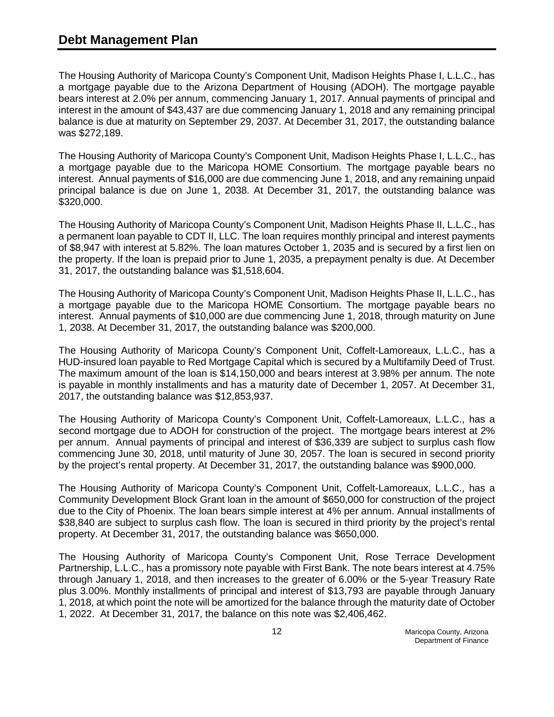The Housing Authority of Maricopa County's Component Unit, Madison Heights Phase I, L.L.C., has a mortgage payable due to the Arizona Department of Housing (ADOH). The mortgage payable bears interest at 2.0% per annum, commencing January 1, 2017. Annual payments of principal and interest in the amount of \$43,437 are due commencing January 1, 2018 and any remaining principal balance is due at maturity on September 29, 2037. At December 31, 2017, the outstanding balance was \$272,189.

The Housing Authority of Maricopa County's Component Unit, Madison Heights Phase I, L.L.C., has a mortgage payable due to the Maricopa HOME Consortium. The mortgage payable bears no interest. Annual payments of \$16,000 are due commencing June 1, 2018, and any remaining unpaid principal balance is due on June 1, 2038. At December 31, 2017, the outstanding balance was \$320,000.

The Housing Authority of Maricopa County's Component Unit, Madison Heights Phase II, L.L.C., has a permanent loan payable to CDT II, LLC. The loan requires monthly principal and interest payments of \$8,947 with interest at 5.82%. The loan matures October 1, 2035 and is secured by a first lien on the property. If the loan is prepaid prior to June 1, 2035, a prepayment penalty is due. At December 31, 2017, the outstanding balance was \$1,518,604.

The Housing Authority of Maricopa County's Component Unit, Madison Heights Phase II, L.L.C., has a mortgage payable due to the Maricopa HOME Consortium. The mortgage payable bears no interest. Annual payments of \$10,000 are due commencing June 1, 2018, through maturity on June 1, 2038. At December 31, 2017, the outstanding balance was \$200,000.

The Housing Authority of Maricopa County's Component Unit, Coffelt-Lamoreaux, L.L.C., has a HUD-insured loan payable to Red Mortgage Capital which is secured by a Multifamily Deed of Trust. The maximum amount of the loan is \$14,150,000 and bears interest at 3.98% per annum. The note is payable in monthly installments and has a maturity date of December 1, 2057. At December 31, 2017, the outstanding balance was \$12,853,937.

The Housing Authority of Maricopa County's Component Unit, Coffelt-Lamoreaux, L.L.C., has a second mortgage due to ADOH for construction of the project. The mortgage bears interest at 2% per annum. Annual payments of principal and interest of \$36,339 are subject to surplus cash flow commencing June 30, 2018, until maturity of June 30, 2057. The loan is secured in second priority by the project's rental property. At December 31, 2017, the outstanding balance was \$900,000.

The Housing Authority of Maricopa County's Component Unit, Coffelt-Lamoreaux, L.L.C., has a Community Development Block Grant loan in the amount of \$650,000 for construction of the project due to the City of Phoenix. The loan bears simple interest at 4% per annum. Annual installments of \$38,840 are subject to surplus cash flow. The loan is secured in third priority by the project's rental property. At December 31, 2017, the outstanding balance was \$650,000.

The Housing Authority of Maricopa County's Component Unit, Rose Terrace Development Partnership, L.L.C., has a promissory note payable with First Bank. The note bears interest at 4.75% through January 1, 2018, and then increases to the greater of 6.00% or the 5-year Treasury Rate plus 3.00%. Monthly installments of principal and interest of \$13,793 are payable through January 1, 2018, at which point the note will be amortized for the balance through the maturity date of October 1, 2022. At December 31, 2017, the balance on this note was \$2,406,462.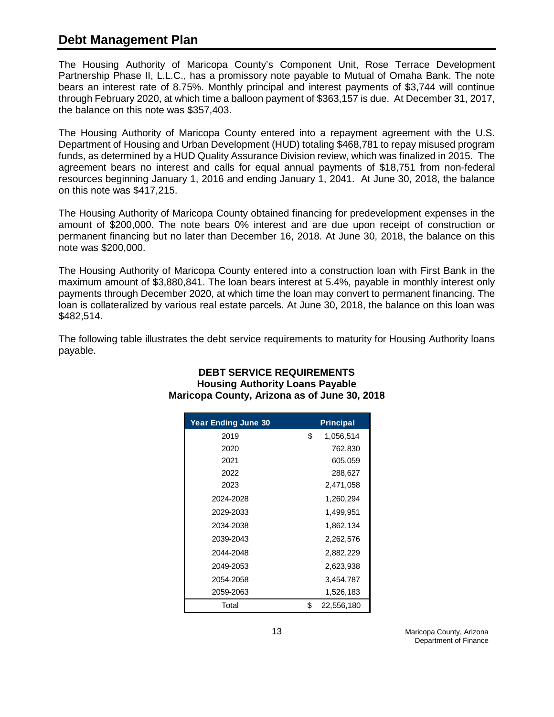The Housing Authority of Maricopa County's Component Unit, Rose Terrace Development Partnership Phase II, L.L.C., has a promissory note payable to Mutual of Omaha Bank. The note bears an interest rate of 8.75%. Monthly principal and interest payments of \$3,744 will continue through February 2020, at which time a balloon payment of \$363,157 is due. At December 31, 2017, the balance on this note was \$357,403.

The Housing Authority of Maricopa County entered into a repayment agreement with the U.S. Department of Housing and Urban Development (HUD) totaling \$468,781 to repay misused program funds, as determined by a HUD Quality Assurance Division review, which was finalized in 2015. The agreement bears no interest and calls for equal annual payments of \$18,751 from non-federal resources beginning January 1, 2016 and ending January 1, 2041. At June 30, 2018, the balance on this note was \$417,215.

The Housing Authority of Maricopa County obtained financing for predevelopment expenses in the amount of \$200,000. The note bears 0% interest and are due upon receipt of construction or permanent financing but no later than December 16, 2018. At June 30, 2018, the balance on this note was \$200,000.

The Housing Authority of Maricopa County entered into a construction loan with First Bank in the maximum amount of \$3,880,841. The loan bears interest at 5.4%, payable in monthly interest only payments through December 2020, at which time the loan may convert to permanent financing. The loan is collateralized by various real estate parcels. At June 30, 2018, the balance on this loan was \$482,514.

The following table illustrates the debt service requirements to maturity for Housing Authority loans payable.

| <b>Year Ending June 30</b> | <b>Principal</b> |
|----------------------------|------------------|
| 2019                       | \$<br>1,056,514  |
| 2020                       | 762,830          |
| 2021                       | 605,059          |
| 2022                       | 288,627          |
| 2023                       | 2,471,058        |
| 2024-2028                  | 1,260,294        |
| 2029-2033                  | 1.499.951        |
| 2034-2038                  | 1,862,134        |
| 2039-2043                  | 2,262,576        |
| 2044-2048                  | 2,882,229        |
| 2049-2053                  | 2,623,938        |
| 2054-2058                  | 3,454,787        |
| 2059-2063                  | 1,526,183        |
| Total                      | \$<br>22,556,180 |

#### **DEBT SERVICE REQUIREMENTS Housing Authority Loans Payable Maricopa County, Arizona as of June 30, 2018**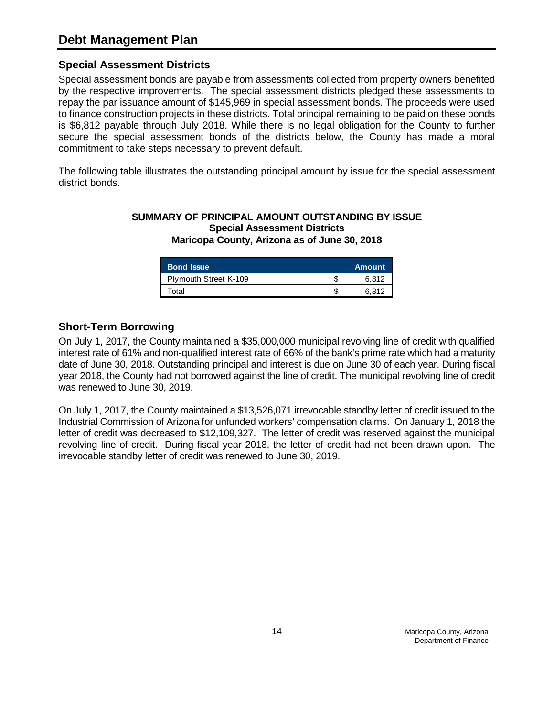## **Special Assessment Districts**

Special assessment bonds are payable from assessments collected from property owners benefited by the respective improvements. The special assessment districts pledged these assessments to repay the par issuance amount of \$145,969 in special assessment bonds. The proceeds were used to finance construction projects in these districts. Total principal remaining to be paid on these bonds is \$6,812 payable through July 2018. While there is no legal obligation for the County to further secure the special assessment bonds of the districts below, the County has made a moral commitment to take steps necessary to prevent default.

The following table illustrates the outstanding principal amount by issue for the special assessment district bonds.

#### **SUMMARY OF PRINCIPAL AMOUNT OUTSTANDING BY ISSUE Special Assessment Districts Maricopa County, Arizona as of June 30, 2018**

| <b>Bond Issue</b>     |   | <b>Amount</b> |
|-----------------------|---|---------------|
| Plymouth Street K-109 |   | 6.812         |
| otal.                 | æ | 6.812         |

## **Short-Term Borrowing**

On July 1, 2017, the County maintained a \$35,000,000 municipal revolving line of credit with qualified interest rate of 61% and non-qualified interest rate of 66% of the bank's prime rate which had a maturity date of June 30, 2018. Outstanding principal and interest is due on June 30 of each year. During fiscal year 2018, the County had not borrowed against the line of credit. The municipal revolving line of credit was renewed to June 30, 2019.

On July 1, 2017, the County maintained a \$13,526,071 irrevocable standby letter of credit issued to the Industrial Commission of Arizona for unfunded workers' compensation claims. On January 1, 2018 the letter of credit was decreased to \$12,109,327. The letter of credit was reserved against the municipal revolving line of credit. During fiscal year 2018, the letter of credit had not been drawn upon. The irrevocable standby letter of credit was renewed to June 30, 2019.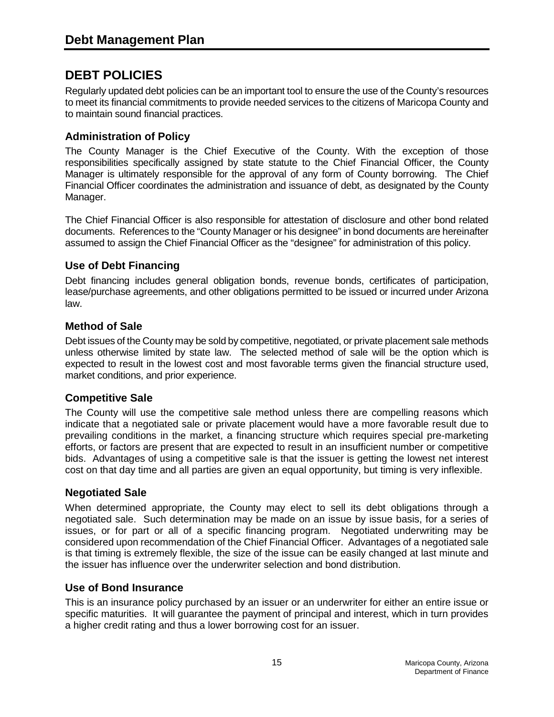## <span id="page-18-0"></span>**DEBT POLICIES**

Regularly updated debt policies can be an important tool to ensure the use of the County's resources to meet its financial commitments to provide needed services to the citizens of Maricopa County and to maintain sound financial practices.

## <span id="page-18-1"></span>**Administration of Policy**

The County Manager is the Chief Executive of the County. With the exception of those responsibilities specifically assigned by state statute to the Chief Financial Officer, the County Manager is ultimately responsible for the approval of any form of County borrowing. The Chief Financial Officer coordinates the administration and issuance of debt, as designated by the County Manager.

The Chief Financial Officer is also responsible for attestation of disclosure and other bond related documents. References to the "County Manager or his designee" in bond documents are hereinafter assumed to assign the Chief Financial Officer as the "designee" for administration of this policy.

## <span id="page-18-2"></span>**Use of Debt Financing**

Debt financing includes general obligation bonds, revenue bonds, certificates of participation, lease/purchase agreements, and other obligations permitted to be issued or incurred under Arizona law.

#### <span id="page-18-3"></span>**Method of Sale**

Debt issues of the County may be sold by competitive, negotiated, or private placement sale methods unless otherwise limited by state law. The selected method of sale will be the option which is expected to result in the lowest cost and most favorable terms given the financial structure used, market conditions, and prior experience.

#### <span id="page-18-4"></span>**Competitive Sale**

The County will use the competitive sale method unless there are compelling reasons which indicate that a negotiated sale or private placement would have a more favorable result due to prevailing conditions in the market, a financing structure which requires special pre-marketing efforts, or factors are present that are expected to result in an insufficient number or competitive bids. Advantages of using a competitive sale is that the issuer is getting the lowest net interest cost on that day time and all parties are given an equal opportunity, but timing is very inflexible.

#### <span id="page-18-5"></span>**Negotiated Sale**

When determined appropriate, the County may elect to sell its debt obligations through a negotiated sale. Such determination may be made on an issue by issue basis, for a series of issues, or for part or all of a specific financing program. Negotiated underwriting may be considered upon recommendation of the Chief Financial Officer. Advantages of a negotiated sale is that timing is extremely flexible, the size of the issue can be easily changed at last minute and the issuer has influence over the underwriter selection and bond distribution.

#### <span id="page-18-6"></span>**Use of Bond Insurance**

This is an insurance policy purchased by an issuer or an underwriter for either an entire issue or specific maturities. It will guarantee the payment of principal and interest, which in turn provides a higher credit rating and thus a lower borrowing cost for an issuer.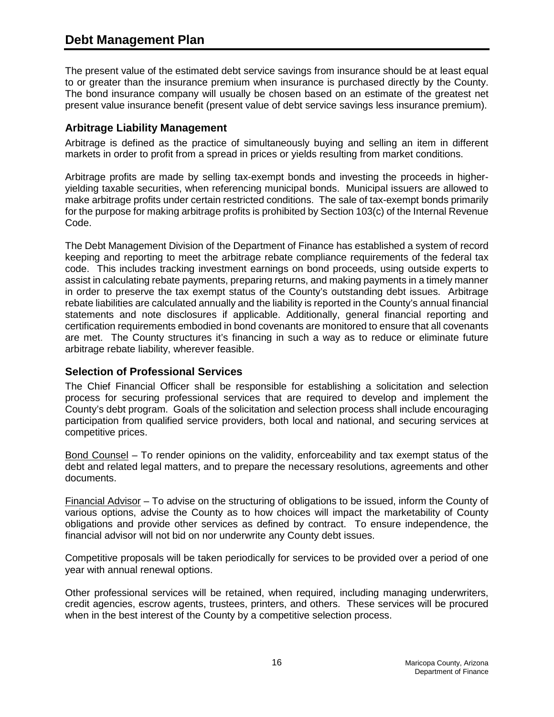The present value of the estimated debt service savings from insurance should be at least equal to or greater than the insurance premium when insurance is purchased directly by the County. The bond insurance company will usually be chosen based on an estimate of the greatest net present value insurance benefit (present value of debt service savings less insurance premium).

## <span id="page-19-0"></span>**Arbitrage Liability Management**

Arbitrage is defined as the practice of simultaneously buying and selling an item in different markets in order to profit from a spread in prices or yields resulting from market conditions.

Arbitrage profits are made by selling tax-exempt bonds and investing the proceeds in higheryielding taxable securities, when referencing municipal bonds. Municipal issuers are allowed to make arbitrage profits under certain restricted conditions. The sale of tax-exempt bonds primarily for the purpose for making arbitrage profits is prohibited by Section 103(c) of the Internal Revenue Code.

The Debt Management Division of the Department of Finance has established a system of record keeping and reporting to meet the arbitrage rebate compliance requirements of the federal tax code. This includes tracking investment earnings on bond proceeds, using outside experts to assist in calculating rebate payments, preparing returns, and making payments in a timely manner in order to preserve the tax exempt status of the County's outstanding debt issues. Arbitrage rebate liabilities are calculated annually and the liability is reported in the County's annual financial statements and note disclosures if applicable. Additionally, general financial reporting and certification requirements embodied in bond covenants are monitored to ensure that all covenants are met. The County structures it's financing in such a way as to reduce or eliminate future arbitrage rebate liability, wherever feasible.

#### <span id="page-19-1"></span>**Selection of Professional Services**

The Chief Financial Officer shall be responsible for establishing a solicitation and selection process for securing professional services that are required to develop and implement the County's debt program. Goals of the solicitation and selection process shall include encouraging participation from qualified service providers, both local and national, and securing services at competitive prices.

Bond Counsel – To render opinions on the validity, enforceability and tax exempt status of the debt and related legal matters, and to prepare the necessary resolutions, agreements and other documents.

Financial Advisor – To advise on the structuring of obligations to be issued, inform the County of various options, advise the County as to how choices will impact the marketability of County obligations and provide other services as defined by contract. To ensure independence, the financial advisor will not bid on nor underwrite any County debt issues.

Competitive proposals will be taken periodically for services to be provided over a period of one year with annual renewal options.

Other professional services will be retained, when required, including managing underwriters, credit agencies, escrow agents, trustees, printers, and others. These services will be procured when in the best interest of the County by a competitive selection process.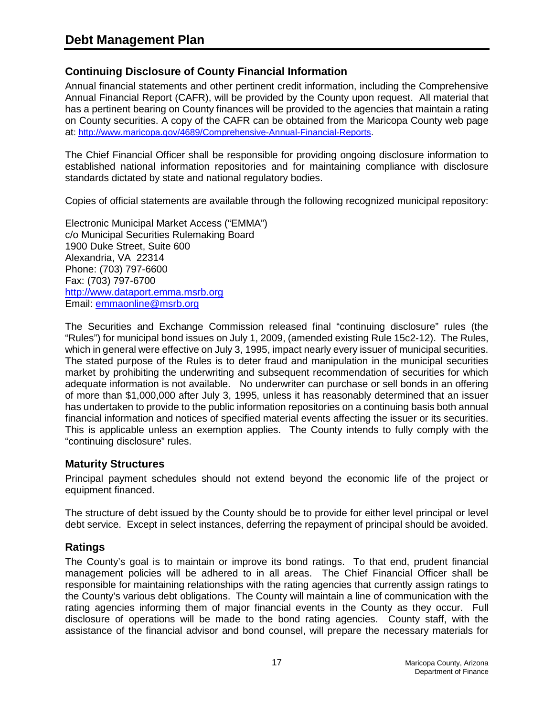## <span id="page-20-0"></span>**Continuing Disclosure of County Financial Information**

Annual financial statements and other pertinent credit information, including the Comprehensive Annual Financial Report (CAFR), will be provided by the County upon request. All material that has a pertinent bearing on County finances will be provided to the agencies that maintain a rating on County securities. A copy of the CAFR can be obtained from the Maricopa County web page at[: http://www.maricopa.gov/4689/Comprehensive-Annual-Financial-Reports.](http://www.maricopa.gov/4689/Comprehensive-Annual-Financial-Reports)

The Chief Financial Officer shall be responsible for providing ongoing disclosure information to established national information repositories and for maintaining compliance with disclosure standards dictated by state and national regulatory bodies.

Copies of official statements are available through the following recognized municipal repository:

Electronic Municipal Market Access ("EMMA") c/o Municipal Securities Rulemaking Board 1900 Duke Street, Suite 600 Alexandria, VA 22314 Phone: (703) 797-6600 Fax: (703) 797-6700 [http://www.dataport.emma.msrb.org](http://dataport.emma.msrb.org/AboutDataport.aspx?ReturnUrl=%2fSubmission%2fSubmissionPortal.aspx) Email: [emmaonline@msrb.org](mailto:emmaonline@msrb.org)

The Securities and Exchange Commission released final "continuing disclosure" rules (the "Rules") for municipal bond issues on July 1, 2009, (amended existing Rule 15c2-12). The Rules, which in general were effective on July 3, 1995, impact nearly every issuer of municipal securities. The stated purpose of the Rules is to deter fraud and manipulation in the municipal securities market by prohibiting the underwriting and subsequent recommendation of securities for which adequate information is not available. No underwriter can purchase or sell bonds in an offering of more than \$1,000,000 after July 3, 1995, unless it has reasonably determined that an issuer has undertaken to provide to the public information repositories on a continuing basis both annual financial information and notices of specified material events affecting the issuer or its securities. This is applicable unless an exemption applies. The County intends to fully comply with the "continuing disclosure" rules.

#### <span id="page-20-1"></span>**Maturity Structures**

Principal payment schedules should not extend beyond the economic life of the project or equipment financed.

The structure of debt issued by the County should be to provide for either level principal or level debt service. Except in select instances, deferring the repayment of principal should be avoided.

#### <span id="page-20-2"></span>**Ratings**

The County's goal is to maintain or improve its bond ratings. To that end, prudent financial management policies will be adhered to in all areas. The Chief Financial Officer shall be responsible for maintaining relationships with the rating agencies that currently assign ratings to the County's various debt obligations. The County will maintain a line of communication with the rating agencies informing them of major financial events in the County as they occur. Full disclosure of operations will be made to the bond rating agencies. County staff, with the assistance of the financial advisor and bond counsel, will prepare the necessary materials for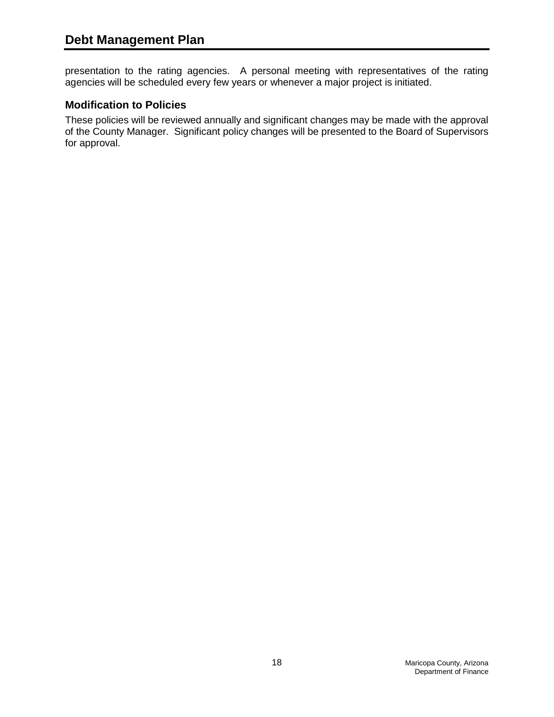presentation to the rating agencies. A personal meeting with representatives of the rating agencies will be scheduled every few years or whenever a major project is initiated.

#### <span id="page-21-0"></span>**Modification to Policies**

These policies will be reviewed annually and significant changes may be made with the approval of the County Manager. Significant policy changes will be presented to the Board of Supervisors for approval.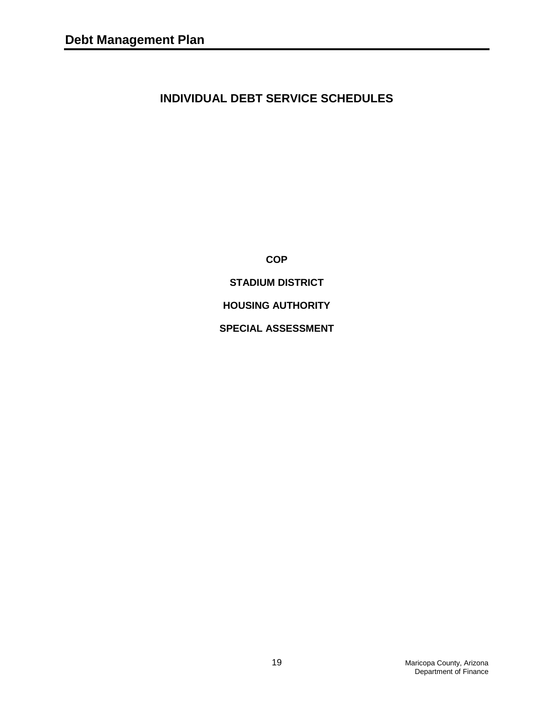## <span id="page-22-0"></span>**INDIVIDUAL DEBT SERVICE SCHEDULES**

**COP**

**STADIUM DISTRICT**

**HOUSING AUTHORITY**

**SPECIAL ASSESSMENT**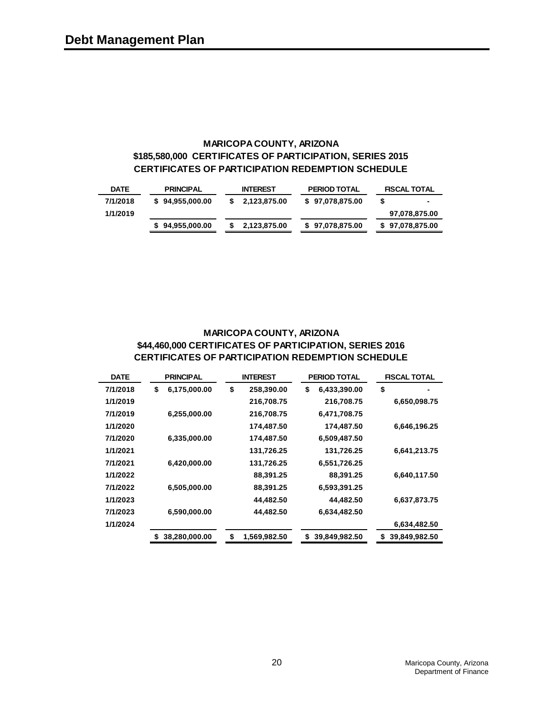#### **CERTIFICATES OF PARTICIPATION REDEMPTION SCHEDULE \$185,580,000 CERTIFICATES OF PARTICIPATION, SERIES 2015 MARICOPA COUNTY, ARIZONA**

| <b>DATE</b> | <b>PRINCIPAL</b> | <b>INTEREST</b> | <b>PERIOD TOTAL</b> | <b>FISCAL TOTAL</b> |  |
|-------------|------------------|-----------------|---------------------|---------------------|--|
| 7/1/2018    | \$94,955,000.00  | 2,123,875.00    | \$97,078,875.00     | ۰                   |  |
| 1/1/2019    |                  |                 |                     | 97,078,875.00       |  |
|             | \$94,955,000.00  | 2,123,875.00    | \$97,078,875.00     | \$97,078,875.00     |  |

#### **MARICOPA COUNTY, ARIZONA \$44,460,000 CERTIFICATES OF PARTICIPATION, SERIES 2016 CERTIFICATES OF PARTICIPATION REDEMPTION SCHEDULE**

| <b>DATE</b> | <b>PRINCIPAL</b>   | <b>INTEREST</b>    | <b>PERIOD TOTAL</b> | <b>FISCAL TOTAL</b> |  |
|-------------|--------------------|--------------------|---------------------|---------------------|--|
| 7/1/2018    | \$<br>6,175,000.00 | \$<br>258,390.00   | \$<br>6,433,390.00  | \$                  |  |
| 1/1/2019    |                    | 216,708.75         | 216,708.75          | 6,650,098.75        |  |
| 7/1/2019    | 6,255,000.00       | 216,708.75         | 6,471,708.75        |                     |  |
| 1/1/2020    |                    | 174,487.50         | 174,487.50          | 6,646,196.25        |  |
| 7/1/2020    | 6,335,000.00       | 174,487.50         | 6,509,487.50        |                     |  |
| 1/1/2021    |                    | 131,726.25         | 131,726.25          | 6,641,213.75        |  |
| 7/1/2021    | 6,420,000.00       | 131,726.25         | 6,551,726.25        |                     |  |
| 1/1/2022    |                    | 88,391.25          | 88,391.25           | 6,640,117.50        |  |
| 7/1/2022    | 6,505,000.00       | 88,391.25          | 6,593,391.25        |                     |  |
| 1/1/2023    |                    | 44,482.50          | 44.482.50           | 6,637,873.75        |  |
| 7/1/2023    | 6,590,000.00       | 44,482.50          | 6,634,482.50        |                     |  |
| 1/1/2024    |                    |                    |                     | 6,634,482.50        |  |
|             | 38,280,000.00<br>S | \$<br>1,569,982.50 | 39,849,982.50<br>S  | 39,849,982.50<br>S  |  |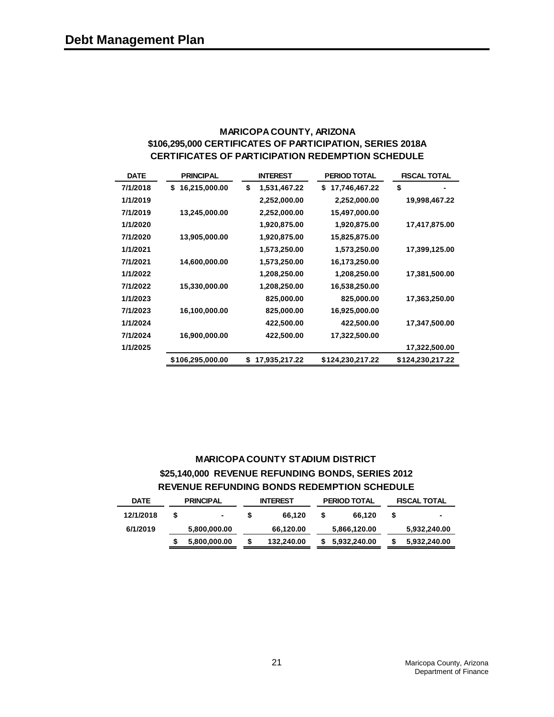#### **CERTIFICATES OF PARTICIPATION REDEMPTION SCHEDULE MARICOPA COUNTY, ARIZONA \$106,295,000 CERTIFICATES OF PARTICIPATION, SERIES 2018A**

| <b>DATE</b> | <b>PRINCIPAL</b>    | <b>INTEREST</b>     | <b>PERIOD TOTAL</b> | <b>FISCAL TOTAL</b> |
|-------------|---------------------|---------------------|---------------------|---------------------|
| 7/1/2018    | 16,215,000.00<br>\$ | \$<br>1,531,467.22  | 17,746,467.22<br>S. | \$                  |
| 1/1/2019    |                     | 2,252,000.00        | 2,252,000.00        | 19,998,467.22       |
| 7/1/2019    | 13,245,000.00       | 2,252,000.00        | 15,497,000.00       |                     |
| 1/1/2020    |                     | 1,920,875.00        | 1,920,875.00        | 17,417,875.00       |
| 7/1/2020    | 13,905,000.00       | 1,920,875.00        | 15,825,875.00       |                     |
| 1/1/2021    |                     | 1,573,250.00        | 1,573,250.00        | 17,399,125.00       |
| 7/1/2021    | 14,600,000.00       | 1,573,250.00        | 16,173,250.00       |                     |
| 1/1/2022    |                     | 1,208,250.00        | 1,208,250.00        | 17,381,500.00       |
| 7/1/2022    | 15,330,000.00       | 1,208,250.00        | 16,538,250.00       |                     |
| 1/1/2023    |                     | 825,000.00          | 825,000.00          | 17,363,250.00       |
| 7/1/2023    | 16,100,000.00       | 825,000.00          | 16,925,000.00       |                     |
| 1/1/2024    |                     | 422,500.00          | 422,500.00          | 17,347,500.00       |
| 7/1/2024    | 16,900,000.00       | 422,500.00          | 17,322,500.00       |                     |
| 1/1/2025    |                     |                     |                     | 17,322,500.00       |
|             | \$106,295,000.00    | \$<br>17,935,217.22 | \$124,230,217.22    | \$124,230,217.22    |

## **MARICOPA COUNTY STADIUM DISTRICT \$25,140,000 REVENUE REFUNDING BONDS, SERIES 2012 REVENUE REFUNDING BONDS REDEMPTION SCHEDULE**

| <b>DATE</b> | <b>PRINCIPAL</b> | <b>INTEREST</b> |            | <b>PERIOD TOTAL</b> |              | <b>FISCAL TOTAL</b> |  |
|-------------|------------------|-----------------|------------|---------------------|--------------|---------------------|--|
| 12/1/2018   | ۰.               |                 | 66.120     |                     | 66.120       |                     |  |
| 6/1/2019    | 5,800,000.00     |                 | 66,120.00  |                     | 5,866,120.00 | 5,932,240.00        |  |
|             | 5,800,000.00     |                 | 132.240.00 |                     | 5,932,240.00 | 5,932,240.00        |  |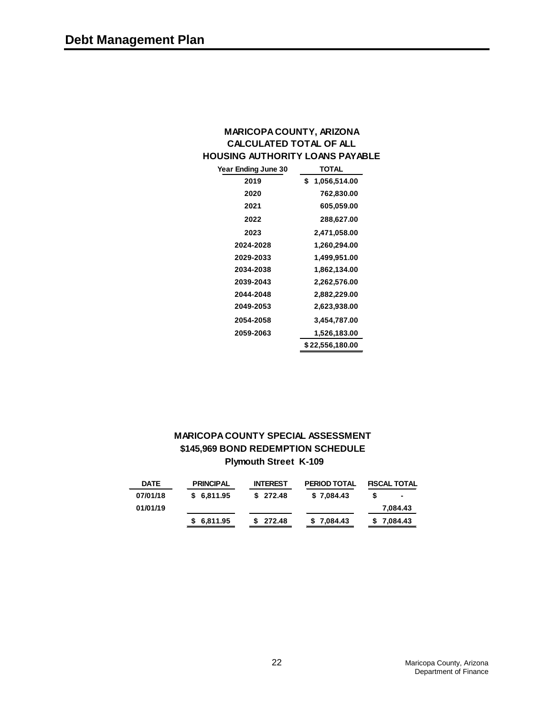| <b>MARICOPA COUNTY, ARIZONA</b>        |
|----------------------------------------|
| <b>CALCULATED TOTAL OF ALL</b>         |
| <b>HOUSING AUTHORITY LOANS PAYABLE</b> |

| <b>Year Ending June 30</b> | <b>TOTAL</b>       |
|----------------------------|--------------------|
| 2019                       | 1,056,514.00<br>\$ |
| 2020                       | 762,830.00         |
| 2021                       | 605,059.00         |
| 2022                       | 288,627.00         |
| 2023                       | 2,471,058.00       |
| 2024-2028                  | 1,260,294.00       |
| 2029-2033                  | 1,499,951.00       |
| 2034-2038                  | 1,862,134.00       |
| 2039-2043                  | 2,262,576.00       |
| 2044-2048                  | 2,882,229.00       |
| 2049-2053                  | 2,623,938.00       |
| 2054-2058                  | 3,454,787.00       |
| 2059-2063                  | 1,526,183.00       |
|                            | \$22,556,180.00    |

#### **\$145,969 BOND REDEMPTION SCHEDULE Plymouth Street K-109 MARICOPA COUNTY SPECIAL ASSESSMENT**

| <b>DATE</b> | <b>PRINCIPAL</b> | <b>INTEREST</b> | <b>PERIOD TOTAL</b> | <b>FISCAL TOTAL</b> |
|-------------|------------------|-----------------|---------------------|---------------------|
| 07/01/18    | \$6,811.95       | \$272.48        | \$7.084.43          | ۰                   |
| 01/01/19    |                  |                 |                     | 7,084.43            |
|             | \$6,811.95       | \$272.48        | \$7,084.43          | \$7,084.43          |